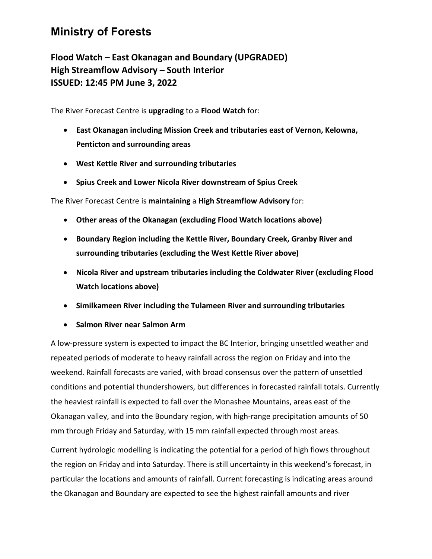## **Ministry of Forests**

**Flood Watch – East Okanagan and Boundary (UPGRADED) High Streamflow Advisory – South Interior ISSUED: 12:45 PM June 3, 2022**

The River Forecast Centre is **upgrading** to a **Flood Watch** for:

- **East Okanagan including Mission Creek and tributaries east of Vernon, Kelowna, Penticton and surrounding areas**
- **West Kettle River and surrounding tributaries**
- **Spius Creek and Lower Nicola River downstream of Spius Creek**

The River Forecast Centre is **maintaining** a **High Streamflow Advisory** for:

- **Other areas of the Okanagan (excluding Flood Watch locations above)**
- **Boundary Region including the Kettle River, Boundary Creek, Granby River and surrounding tributaries (excluding the West Kettle River above)**
- **Nicola River and upstream tributaries including the Coldwater River (excluding Flood Watch locations above)**
- **Similkameen River including the Tulameen River and surrounding tributaries**
- **Salmon River near Salmon Arm**

A low-pressure system is expected to impact the BC Interior, bringing unsettled weather and repeated periods of moderate to heavy rainfall across the region on Friday and into the weekend. Rainfall forecasts are varied, with broad consensus over the pattern of unsettled conditions and potential thundershowers, but differences in forecasted rainfall totals. Currently the heaviest rainfall is expected to fall over the Monashee Mountains, areas east of the Okanagan valley, and into the Boundary region, with high-range precipitation amounts of 50 mm through Friday and Saturday, with 15 mm rainfall expected through most areas.

Current hydrologic modelling is indicating the potential for a period of high flows throughout the region on Friday and into Saturday. There is still uncertainty in this weekend's forecast, in particular the locations and amounts of rainfall. Current forecasting is indicating areas around the Okanagan and Boundary are expected to see the highest rainfall amounts and river